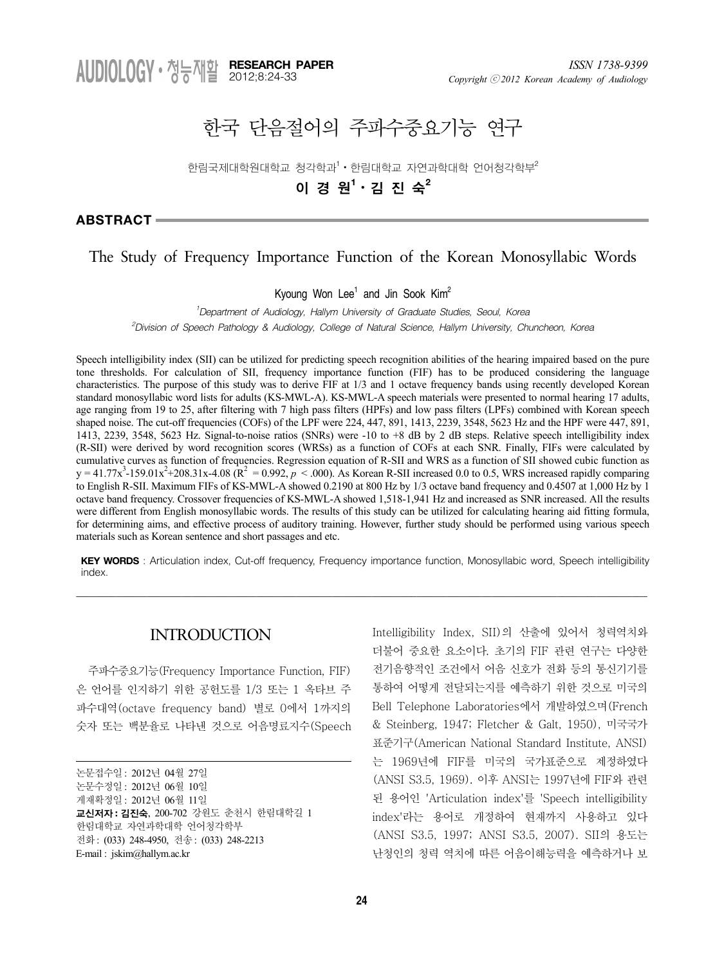# 한국 단음절어의 주파수중요기능 연구

한림국제대학원대학교 청각학과 $^1\cdot$  한림대학교 자연과학대학 언어청각학부 $^2$ 

# 이 경 원**<sup>1</sup>** ᆞ김 진 숙**<sup>2</sup>**

**ABSTRACT**

# The Study of Frequency Importance Function of the Korean Monosyllabic Words

Kyoung Won Lee<sup>1</sup> and Jin Sook Kim<sup>2</sup>

*1 Department of Audiology, Hallym University of Graduate Studies, Seoul, Korea 2 Division of Speech Pathology & Audiology, College of Natural Science, Hallym University, Chuncheon, Korea*

Speech intelligibility index (SII) can be utilized for predicting speech recognition abilities of the hearing impaired based on the pure tone thresholds. For calculation of SII, frequency importance function (FIF) has to be produced considering the language characteristics. The purpose of this study was to derive FIF at 1/3 and 1 octave frequency bands using recently developed Korean standard monosyllabic word lists for adults (KS-MWL-A). KS-MWL-A speech materials were presented to normal hearing 17 adults, age ranging from 19 to 25, after filtering with 7 high pass filters (HPFs) and low pass filters (LPFs) combined with Korean speech shaped noise. The cut-off frequencies (COFs) of the LPF were 224, 447, 891, 1413, 2239, 3548, 5623 Hz and the HPF were 447, 891, 1413, 2239, 3548, 5623 Hz. Signal-to-noise ratios (SNRs) were -10 to +8 dB by 2 dB steps. Relative speech intelligibility index (R-SII) were derived by word recognition scores (WRSs) as a function of COFs at each SNR. Finally, FIFs were calculated by cumulative curves as function of frequencies. Regression equation of R-SII and WRS as a function of SII showed cubic function as  $y = 41.77x^{3} - 159.01x^{2} + 208.31x - 4.08$  ( $\mathbb{R}^{2} = 0.992$ ,  $p < .000$ ). As Korean R-SII increased 0.0 to 0.5, WRS increased rapidly comparing to English R-SII. Maximum FIFs of KS-MWL-A showed 0.2190 at 800 Hz by 1/3 octave band frequency and 0.4507 at 1,000 Hz by 1 octave band frequency. Crossover frequencies of KS-MWL-A showed 1,518-1,941 Hz and increased as SNR increased. All the results were different from English monosyllabic words. The results of this study can be utilized for calculating hearing aid fitting formula, for determining aims, and effective process of auditory training. However, further study should be performed using various speech materials such as Korean sentence and short passages and etc.

**KEY WORDS** : Articulation index, Cut-off frequency, Frequency importance function, Monosyllabic word, Speech intelligibility index.

\_\_\_\_\_\_\_\_\_\_\_\_\_\_\_\_\_\_\_\_\_\_\_\_\_\_\_\_\_\_\_\_\_\_\_\_\_\_\_\_\_\_\_\_\_\_\_\_\_\_\_\_\_\_\_\_\_\_\_\_\_\_\_\_\_\_\_\_\_\_\_\_\_\_\_\_\_\_\_\_\_\_\_\_\_\_\_\_\_\_\_\_\_\_\_\_\_\_\_\_\_\_\_\_\_\_\_\_\_\_\_\_\_\_

# **INTRODUCTION**

주파수중요기능(Frequency Importance Function, FIF) 은 언어를 인지하기 위한 공헌도를 1/3 또는 1 옥타브 주 파수대역(octave frequency band) 별로 0에서 1까지의 숫자 또는 백분율로 나타낸 것으로 어음명료지수(Speech

논문수정일: 2012년 06월 10일

게재확정일: 2012년 06월 11일

한림대학교 자연과학대학 언어청각학부

Intelligibility Index, SII)의 산출에 있어서 청력역치와 더불어 중요한 요소이다. 초기의 FIF 관련 연구는 다양한 전기음향적인 조건에서 어음 신호가 전화 등의 통신기기를 통하여 어떻게 전달되는지를 예측하기 위한 것으로 미국의 Bell Telephone Laboratories에서 개발하였으며(French & Steinberg, 1947; Fletcher & Galt, 1950), 미국국가 표준기구(American National Standard Institute, ANSI) 는 1969년에 FIF를 미국의 국가표준으로 제정하였다 (ANSI S3.5, 1969). 이후 ANSI는 1997년에 FIF와 관련 된 용어인 'Articulation index'를 'Speech intelligibility index'라는 용어로 개정하여 현재까지 사용하고 있다 (ANSI S3.5, 1997; ANSI S3.5, 2007). SII의 용도는 난청인의 청력 역치에 따른 어음이해능력을 예측하거나 보

논문접수일: 2012년 04월 27일

교신저자 **:** 김진숙, 200-702 강원도 춘천시 한림대학길 1

전화: (033) 248-4950, 전송: (033) 248-2213 E-mail : jskim@hallym.ac.kr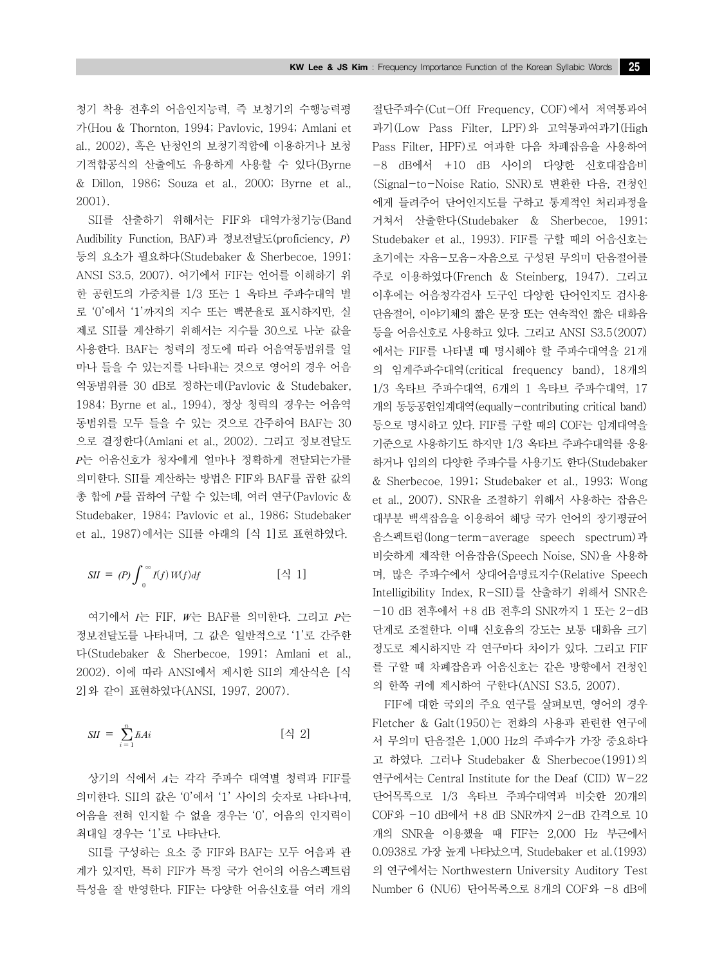청기 착용 전후의 어음인지능력, 즉 보청기의 수행능력평 가(Hou & Thornton, 1994; Pavlovic, 1994; Amlani et al., 2002), 혹은 난청인의 보청기적합에 이용하거나 보청 기적합공식의 산출에도 유용하게 사용할 수 있다(Byrne & Dillon, 1986; Souza et al., 2000; Byrne et al., 2001).

SII를 산출하기 위해서는 FIF와 대역가청기능(Band Audibility Function, BAF)과 정보전달도(proficiency, *P*) 등의 요소가 필요하다(Studebaker & Sherbecoe, 1991; ANSI S3.5, 2007). 여기에서 FIF는 언어를 이해하기 위 한 공헌도의 가중치를 1/3 또는 1 옥타브 주파수대역 별 로 '0'에서 '1'까지의 지수 또는 백분율로 표시하지만, 실 제로 SII를 계산하기 위해서는 지수를 30으로 나눈 값을 사용한다. BAF는 청력의 정도에 따라 어음역동범위를 얼 마나 들을 수 있는지를 나타내는 것으로 영어의 경우 어음 역동범위를 30 dB로 정하는데(Pavlovic & Studebaker, 1984; Byrne et al., 1994), 정상 청력의 경우는 어음역 동범위를 모두 들을 수 있는 것으로 간주하여 BAF는 30 으로 결정한다(Amlani et al., 2002). 그리고 정보전달도 *P*는 어음신호가 청자에게 얼마나 정확하게 전달되는가를 의미한다. SII를 계산하는 방법은 FIF와 BAF를 곱한 값의 총 합에 *P*를 곱하여 구할 수 있는데, 여러 연구(Pavlovic & Studebaker, 1984; Pavlovic et al., 1986; Studebaker et al., 1987)에서는 SII를 아래의 [식 1]로 표현하였다.

$$
SII = (P) \int_0^\infty I(f) W(f) df \qquad [\stackrel{\triangle}{\sim} 1]
$$

여기에서 *I*는 FIF, *W*는 BAF를 의미한다. 그리고 *P*는 정보전달도를 나타내며, 그 값은 일반적으로 '1'로 간주한 다(Studebaker & Sherbecoe, 1991; Amlani et al., 2002). 이에 따라 ANSI에서 제시한 SII의 계산식은 [식 2]와 같이 표현하였다(ANSI, 1997, 2007).

$$
SII = \sum_{i=1}^{n} \hbar Ai \qquad [\triangleleft] 2]
$$

상기의 식에서 *A*는 각각 주파수 대역별 청력과 FIF를 의미한다. SII의 값은 '0'에서 '1' 사이의 숫자로 나타나며, 어음을 전혀 인지할 수 없을 경우는 '0', 어음의 인지력이 최대일 경우는 '1'로 나타난다.

SII를 구성하는 요소 중 FIF와 BAF는 모두 어음과 관 계가 있지만, 특히 FIF가 특정 국가 언어의 어음스펙트럼 특성을 잘 반영한다. FIF는 다양한 어음신호를 여러 개의 절단주파수(Cut-Off Frequency, COF)에서 저역통과여 과기(Low Pass Filter, LPF)와 고역통과여과기(High Pass Filter, HPF)로 여과한 다음 차폐잡음을 사용하여 -8 dB에서 +10 dB 사이의 다양한 신호대잡음비 (Signal-to-Noise Ratio, SNR)로 변환한 다음, 건청인 에게 들려주어 단어인지도를 구하고 통계적인 처리과정을 거쳐서 산출한다(Studebaker & Sherbecoe, 1991; Studebaker et al., 1993). FIF를 구할 때의 어음신호는 초기에는 자음-모음-자음으로 구성된 무의미 단음절어를 주로 이용하였다(French & Steinberg, 1947). 그리고 이후에는 어음청각검사 도구인 다양한 단어인지도 검사용 단음절어, 이야기체의 짧은 문장 또는 연속적인 짧은 대화음 등을 어음신호로 사용하고 있다. 그리고 ANSI S3.5(2007) 에서는 FIF를 나타낼 때 명시해야 할 주파수대역을 21개 의 임계주파수대역(critical frequency band), 18개의 1/3 옥타브 주파수대역, 6개의 1 옥타브 주파수대역, 17 개의 동등공헌임계대역(equally-contributing critical band) 등으로 명시하고 있다. FIF를 구할 때의 COF는 임계대역을 기준으로 사용하기도 하지만 1/3 옥타브 주파수대역를 응용 하거나 임의의 다양한 주파수를 사용기도 한다(Studebaker & Sherbecoe, 1991; Studebaker et al., 1993; Wong et al., 2007). SNR을 조절하기 위해서 사용하는 잡음은 대부분 백색잡음을 이용하여 해당 국가 언어의 장기평균어 음스펙트럼(long-term-average speech spectrum)과 비슷하게 제작한 어음잡음(Speech Noise, SN)을 사용하 며, 많은 주파수에서 상대어음명료지수(Relative Speech Intelligibility Index, R-SII)를 산출하기 위해서 SNR은 -10 dB 전후에서 +8 dB 전후의 SNR까지 1 또는 2-dB 단계로 조절한다. 이때 신호음의 강도는 보통 대화음 크기 정도로 제시하지만 각 연구마다 차이가 있다. 그리고 FIF 를 구할 때 차폐잡음과 어음신호는 같은 방향에서 건청인 의 한쪽 귀에 제시하여 구한다(ANSI S3.5, 2007).

FIF에 대한 국외의 주요 연구를 살펴보면, 영어의 경우 Fletcher & Galt(1950)는 전화의 사용과 관련한 연구에 서 무의미 단음절은 1,000 Hz의 주파수가 가장 중요하다 고 하였다. 그러나 Studebaker & Sherbecoe(1991)의 연구에서는 Central Institute for the Deaf (CID) W-22 단어목록으로 1/3 옥타브 주파수대역과 비슷한 20개의 COF와 -10 dB에서 +8 dB SNR까지 2-dB 간격으로 10 개의 SNR을 이용했을 때 FIF는 2,000 Hz 부근에서 0.0938로 가장 높게 나타났으며, Studebaker et al.(1993) 의 연구에서는 Northwestern University Auditory Test Number 6 (NU6) 단어목록으로 8개의 COF와 -8 dB에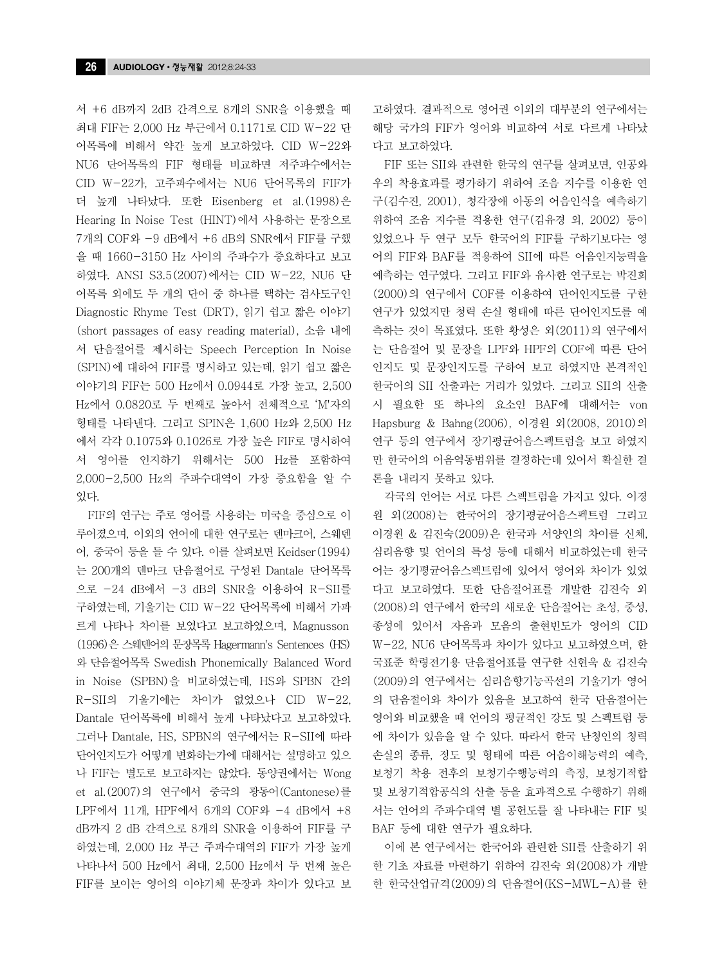서 +6 dB까지 2dB 간격으로 8개의 SNR을 이용했을 때 최대 FIF는 2,000 Hz 부근에서 0.1171로 CID W-22 단 어목록에 비해서 약간 높게 보고하였다. CID W-22와 NU6 단어목록의 FIF 형태를 비교하면 저주파수에서는 CID W-22가, 고주파수에서는 NU6 단어목록의 FIF가 더 높게 나타났다. 또한 Eisenberg et al.(1998)은 Hearing In Noise Test (HINT)에서 사용하는 문장으로 7개의 COF와 -9 dB에서 +6 dB의 SNR에서 FIF를 구했 을 때 1660-3150 Hz 사이의 주파수가 중요하다고 보고 하였다. ANSI S3.5(2007)에서는 CID W-22, NU6 단 어목록 외에도 두 개의 단어 중 하나를 택하는 검사도구인 Diagnostic Rhyme Test (DRT), 읽기 쉽고 짧은 이야기 (short passages of easy reading material), 소음 내에 서 단음절어를 제시하는 Speech Perception In Noise (SPIN)에 대하여 FIF를 명시하고 있는데, 읽기 쉽고 짧은 이야기의 FIF는 500 Hz에서 0.0944로 가장 높고, 2,500 Hz에서 0.0820로 두 번째로 높아서 전체적으로 'M'자의 형태를 나타낸다. 그리고 SPIN은 1,600 Hz와 2,500 Hz 에서 각각 0.1075와 0.1026로 가장 높은 FIF로 명시하여 서 영어를 인지하기 위해서는 500 Hz를 포함하여 2,000-2,500 Hz의 주파수대역이 가장 중요함을 알 수 있다.

FIF의 연구는 주로 영어를 사용하는 미국을 중심으로 이 루어졌으며, 이외의 언어에 대한 연구로는 덴마크어, 스웨덴 어, 중국어 등을 들 수 있다. 이를 살펴보면 Keidser(1994) 는 200개의 덴마크 단음절어로 구성된 Dantale 단어목록 으로 -24 dB에서 -3 dB의 SNR을 이용하여 R-SII를 구하였는데, 기울기는 CID W-22 단어목록에 비해서 가파 르게 나타나 차이를 보였다고 보고하였으며, Magnusson (1996)은 스웨덴어의 문장목록 Hagermann's Sentences (HS) 와 단음절어목록 Swedish Phonemically Balanced Word in Noise (SPBN)을 비교하였는데, HS와 SPBN 간의 R-SII의 기울기에는 차이가 없었으나 CID W-22, Dantale 단어목록에 비해서 높게 나타났다고 보고하였다. 그러나 Dantale, HS, SPBN의 연구에서는 R-SII에 따라 단어인지도가 어떻게 변화하는가에 대해서는 설명하고 있으 나 FIF는 별도로 보고하지는 않았다. 동양권에서는 Wong et al.(2007)의 연구에서 중국의 광동어(Cantonese)를 LPF에서 11개, HPF에서 6개의 COF와 -4 dB에서 +8 dB까지 2 dB 간격으로 8개의 SNR을 이용하여 FIF를 구 하였는데, 2,000 Hz 부근 주파수대역의 FIF가 가장 높게 나타나서 500 Hz에서 최대, 2,500 Hz에서 두 번째 높은 FIF를 보이는 영어의 이야기체 문장과 차이가 있다고 보 고하였다. 결과적으로 영어권 이외의 대부분의 연구에서는 해당 국가의 FIF가 영어와 비교하여 서로 다르게 나타났 다고 보고하였다.

FIF 또는 SII와 관련한 한국의 연구를 살펴보면, 인공와 우의 착용효과를 평가하기 위하여 조음 지수를 이용한 연 구(김수진, 2001), 청각장애 아동의 어음인식을 예측하기 위하여 조음 지수를 적용한 연구(김유경 외, 2002) 등이 있었으나 두 연구 모두 한국어의 FIF를 구하기보다는 영 어의 FIF와 BAF를 적용하여 SII에 따른 어음인지능력을 예측하는 연구였다. 그리고 FIF와 유사한 연구로는 박진희 (2000)의 연구에서 COF를 이용하여 단어인지도를 구한 연구가 있었지만 청력 손실 형태에 따른 단어인지도를 예 측하는 것이 목표였다. 또한 황성은 외(2011)의 연구에서 는 단음절어 및 문장을 LPF와 HPF의 COF에 따른 단어 인지도 및 문장인지도를 구하여 보고 하였지만 본격적인 한국어의 SII 산출과는 거리가 있었다. 그리고 SII의 산출 시 필요한 또 하나의 요소인 BAF에 대해서는 von Hapsburg & Bahng(2006), 이경원 외(2008, 2010)의 연구 등의 연구에서 장기평균어음스펙트럼을 보고 하였지 만 한국어의 어음역동범위를 결정하는데 있어서 확실한 결 론을 내리지 못하고 있다.

각국의 언어는 서로 다른 스펙트럼을 가지고 있다. 이경 원 외(2008)는 한국어의 장기평균어음스펙트럼 그리고 이경원 & 김진숙(2009)은 한국과 서양인의 차이를 신체, 심리음향 및 언어의 특성 등에 대해서 비교하였는데 한국 어는 장기평균어음스펙트럼에 있어서 영어와 차이가 있었 다고 보고하였다. 또한 단음절어표를 개발한 김진숙 외 (2008)의 연구에서 한국의 새로운 단음절어는 초성, 중성, 종성에 있어서 자음과 모음의 출현빈도가 영어의 CID W-22, NU6 단어목록과 차이가 있다고 보고하였으며, 한 국표준 학령전기용 단음절어표를 연구한 신현욱 & 김진숙 (2009)의 연구에서는 심리음향기능곡선의 기울기가 영어 의 단음절어와 차이가 있음을 보고하여 한국 단음절어는 영어와 비교했을 때 언어의 평균적인 강도 및 스펙트럼 등 에 차이가 있음을 알 수 있다. 따라서 한국 난청인의 청력 손실의 종류, 정도 및 형태에 따른 어음이해능력의 예측, 보청기 착용 전후의 보청기수행능력의 측정, 보청기적합 및 보청기적합공식의 산출 등을 효과적으로 수행하기 위해 서는 언어의 주파수대역 별 공헌도를 잘 나타내는 FIF 및 BAF 등에 대한 연구가 필요하다.

이에 본 연구에서는 한국어와 관련한 SII를 산출하기 위 한 기초 자료를 마련하기 위하여 김진숙 외(2008)가 개발 한 한국산업규격(2009)의 단음절어(KS-MWL-A)를 한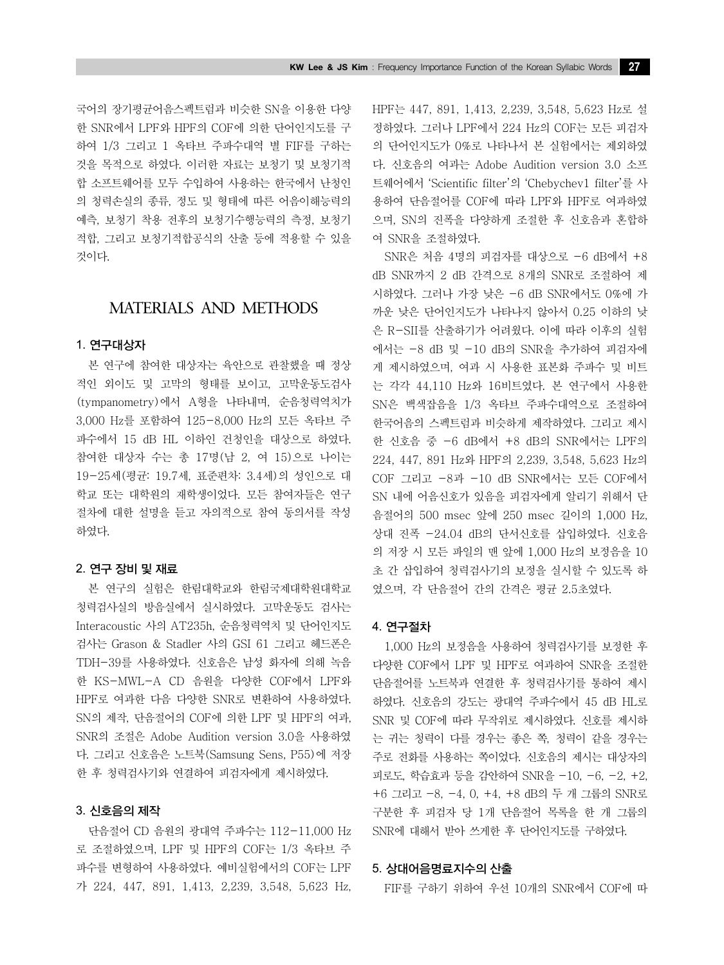국어의 장기평균어음스펙트럼과 비슷한 SN을 이용한 다양 한 SNR에서 LPF와 HPF의 COF에 의한 단어인지도를 구 하여 1/3 그리고 1 옥타브 주파수대역 별 FIF를 구하는 것을 목적으로 하였다. 이러한 자료는 보청기 및 보청기적 합 소프트웨어를 모두 수입하여 사용하는 한국에서 난청인 의 청력손실의 종류, 정도 및 형태에 따른 어음이해능력의 예측, 보청기 착용 전후의 보청기수행능력의 측정, 보청기 적합, 그리고 보청기적합공식의 산출 등에 적용할 수 있을 것이다.

# MATERIALS AND METHODS

#### 1. 연구대상자

본 연구에 참여한 대상자는 육안으로 관찰했을 때 정상 적인 외이도 및 고막의 형태를 보이고, 고막운동도검사 (tympanometry)에서 A형을 나타내며, 순음청력역치가 3,000 Hz를 포함하여 125-8,000 Hz의 모든 옥타브 주 파수에서 15 dB HL 이하인 건청인을 대상으로 하였다. 참여한 대상자 수는 총 17명(남 2, 여 15)으로 나이는 19-25세(평균: 19.7세, 표준편차: 3.4세)의 성인으로 대 학교 또는 대학원의 재학생이었다. 모든 참여자들은 연구 절차에 대한 설명을 듣고 자의적으로 참여 동의서를 작성 하였다.

#### 2. 연구 장비 및 재료

본 연구의 실험은 한림대학교와 한림국제대학원대학교 청력검사실의 방음실에서 실시하였다. 고막운동도 검사는 Interacoustic 사의 AT235h, 순음청력역치 및 단어인지도 검사는 Grason & Stadler 사의 GSI 61 그리고 헤드폰은 TDH-39를 사용하였다. 신호음은 남성 화자에 의해 녹음 한 KS-MWL-A CD 음원을 다양한 COF에서 LPF와 HPF로 여과한 다음 다양한 SNR로 변환하여 사용하였다. SN의 제작, 단음절어의 COF에 의한 LPF 및 HPF의 여과, SNR의 조절은 Adobe Audition version 3.0을 사용하였 다. 그리고 신호음은 노트북(Samsung Sens, P55)에 저장 한 후 청력검사기와 연결하여 피검자에게 제시하였다.

#### 3. 신호음의 제작

단음절어 CD 음원의 광대역 주파수는 112-11,000 Hz 로 조절하였으며, LPF 및 HPF의 COF는 1/3 옥타브 주 파수를 변형하여 사용하였다. 예비실험에서의 COF는 LPF 가 224, 447, 891, 1,413, 2,239, 3,548, 5,623 Hz, HPF는 447, 891, 1,413, 2,239, 3,548, 5,623 Hz로 설 정하였다. 그러나 LPF에서 224 Hz의 COF는 모든 피검자 의 단어인지도가 0%로 나타나서 본 실험에서는 제외하였 다. 신호음의 여과는 Adobe Audition version 3.0 소프 트웨어에서 'Scientific filter'의 'Chebychev1 filter'를 사 용하여 단음절어를 COF에 따라 LPF와 HPF로 여과하였 으며, SN의 진폭을 다양하게 조절한 후 신호음과 혼합하 여 SNR을 조절하였다.

SNR은 처음 4명의 피검자를 대상으로 -6 dB에서 +8 dB SNR까지 2 dB 간격으로 8개의 SNR로 조절하여 제 시하였다. 그러나 가장 낮은 -6 dB SNR에서도 0%에 가 까운 낮은 단어인지도가 나타나지 않아서 0.25 이하의 낮 은 R-SII를 산출하기가 어려웠다. 이에 따라 이후의 실험 에서는 -8 dB 및 -10 dB의 SNR을 추가하여 피검자에 게 제시하였으며, 여과 시 사용한 표본화 주파수 및 비트 는 각각 44,110 Hz와 16비트였다. 본 연구에서 사용한 SN은 백색잡음을 1/3 옥타브 주파수대역으로 조절하여 한국어음의 스펙트럼과 비슷하게 제작하였다. 그리고 제시 한 신호음 중 -6 dB에서 +8 dB의 SNR에서는 LPF의 224, 447, 891 Hz와 HPF의 2,239, 3,548, 5,623 Hz의 COF 그리고 -8과 -10 dB SNR에서는 모든 COF에서 SN 내에 어음신호가 있음을 피검자에게 알리기 위해서 단 음절어의 500 msec 앞에 250 msec 길이의 1,000 Hz, 상대 진폭 -24.04 dB의 단서신호를 삽입하였다. 신호음 의 저장 시 모든 파일의 맨 앞에 1,000 Hz의 보정음을 10 초 간 삽입하여 청력검사기의 보정을 실시할 수 있도록 하 였으며, 각 단음절어 간의 간격은 평균 2.5초였다.

#### 4. 연구절차

1,000 Hz의 보정음을 사용하여 청력검사기를 보정한 후 다양한 COF에서 LPF 및 HPF로 여과하여 SNR을 조절한 단음절어를 노트북과 연결한 후 청력검사기를 통하여 제시 하였다. 신호음의 강도는 광대역 주파수에서 45 dB HL로 SNR 및 COF에 따라 무작위로 제시하였다. 신호를 제시하 는 귀는 청력이 다를 경우는 좋은 쪽, 청력이 같을 경우는 주로 전화를 사용하는 쪽이었다. 신호음의 제시는 대상자의 피로도, 학습효과 등을 감안하여 SNR을 -10, -6, -2, +2, +6 그리고 -8, -4, 0, +4, +8 dB의 두 개 그룹의 SNR로 구분한 후 피검자 당 1개 단음절어 목록을 한 개 그룹의 SNR에 대해서 받아 쓰게한 후 단어인지도를 구하였다.

#### 5. 상대어음명료지수의 산출

FIF를 구하기 위하여 우선 10개의 SNR에서 COF에 따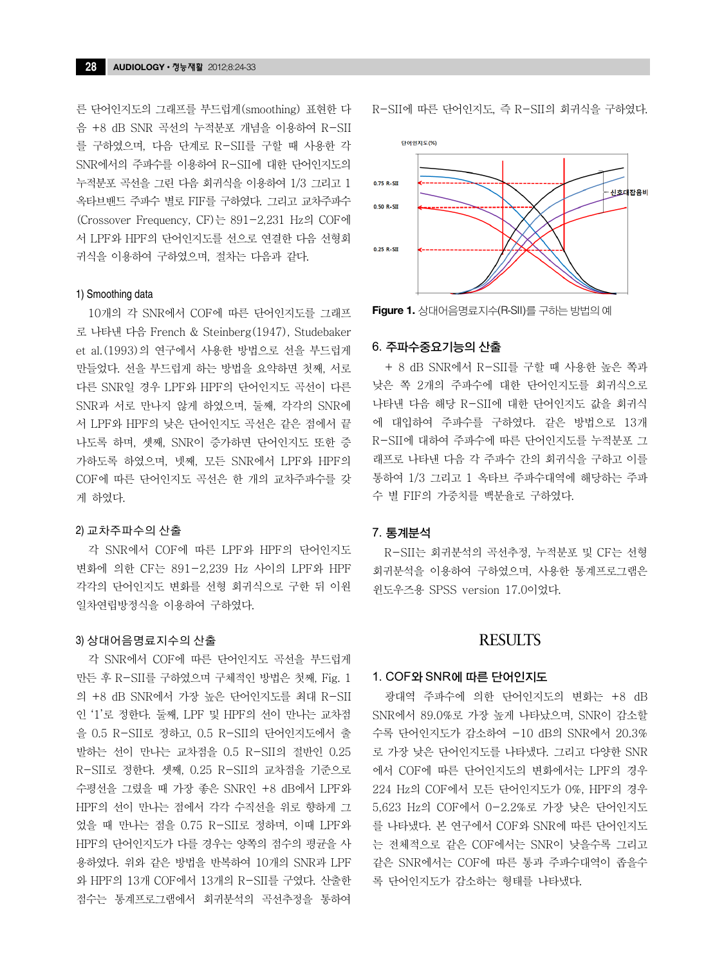른 단어인지도의 그래프를 부드럽게(smoothing) 표현한 다 음 +8 dB SNR 곡선의 누적분포 개념을 이용하여 R-SII 를 구하였으며, 다음 단계로 R-SII를 구할 때 사용한 각 SNR에서의 주파수를 이용하여 R-SII에 대한 단어인지도의 누적분포 곡선을 그린 다음 회귀식을 이용하여 1/3 그리고 1 옥타브밴드 주파수 별로 FIF를 구하였다. 그리고 교차주파수 (Crossover Frequency, CF)는 891-2,231 Hz의 COF에 서 LPF와 HPF의 단어인지도를 선으로 연결한 다음 선형회 귀식을 이용하여 구하였으며, 절차는 다음과 같다.

#### 1) Smoothing data

10개의 각 SNR에서 COF에 따른 단어인지도를 그래프 로 나타낸 다음 French & Steinberg(1947), Studebaker et al.(1993)의 연구에서 사용한 방법으로 선을 부드럽게 만들었다. 선을 부드럽게 하는 방법을 요약하면 첫째, 서로 다른 SNR일 경우 LPF와 HPF의 단어인지도 곡선이 다른 SNR과 서로 만나지 않게 하였으며, 둘째, 각각의 SNR에 서 LPF와 HPF의 낮은 단어인지도 곡선은 같은 점에서 끝 나도록 하며, 셋째, SNR이 증가하면 단어인지도 또한 증 가하도록 하였으며, 넷째, 모든 SNR에서 LPF와 HPF의 COF에 따른 단어인지도 곡선은 한 개의 교차주파수를 갖 게 하였다.

#### 2) 교차주파수의 산출

각 SNR에서 COF에 따른 LPF와 HPF의 단어인지도 변화에 의한 CF는 891-2,239 Hz 사이의 LPF와 HPF 각각의 단어인지도 변화를 선형 회귀식으로 구한 뒤 이원 일차연립방정식을 이용하여 구하였다.

#### 3) 상대어음명료지수의 산출

각 SNR에서 COF에 따른 단어인지도 곡선을 부드럽게 만든 후 R-SII를 구하였으며 구체적인 방법은 첫째, Fig. 1 의 +8 dB SNR에서 가장 높은 단어인지도를 최대 R-SII 인 '1'로 정한다. 둘째, LPF 및 HPF의 선이 만나는 교차점 을 0.5 R-SII로 정하고, 0.5 R-SII의 단어인지도에서 출 발하는 선이 만나는 교차점을 0.5 R-SII의 절반인 0.25 R-SII로 정한다. 셋째, 0.25 R-SII의 교차점을 기준으로 수평선을 그렸을 때 가장 좋은 SNR인 +8 dB에서 LPF와 HPF의 선이 만나는 점에서 각각 수직선을 위로 향하게 그 었을 때 만나는 점을 0.75 R-SII로 정하며, 이때 LPF와 HPF의 단어인지도가 다를 경우는 양쪽의 점수의 평균을 사 용하였다. 위와 같은 방법을 반복하여 10개의 SNR과 LPF 와 HPF의 13개 COF에서 13개의 R-SII를 구였다. 산출한 점수는 통계프로그램에서 회귀분석의 곡선추정을 통하여 R-SII에 따른 단어인지도, 즉 R-SII의 회귀식을 구하였다.



**Figure 1.** 상대어음명료지수(R-SII)를구하는 방법의 예

#### 6. 주파수중요기능의 산출

+ 8 dB SNR에서 R-SII를 구할 때 사용한 높은 쪽과 낮은 쪽 2개의 주파수에 대한 단어인지도를 회귀식으로 나타낸 다음 해당 R-SII에 대한 단어인지도 값을 회귀식 에 대입하여 주파수를 구하였다. 같은 방법으로 13개 R-SII에 대하여 주파수에 따른 단어인지도를 누적분포 그 래프로 나타낸 다음 각 주파수 간의 회귀식을 구하고 이를 통하여 1/3 그리고 1 옥타브 주파수대역에 해당하는 주파 수 별 FIF의 가중치를 백분율로 구하였다.

#### 7. 통계분석

R-SII는 회귀분석의 곡선추정, 누적분포 및 CF는 선형 회귀분석을 이용하여 구하였으며, 사용한 통계프로그램은 윈도우즈용 SPSS version 17.0이었다.

### **RESULTS**

#### 1. COF와 SNR에 따른 단어인지도

광대역 주파수에 의한 단어인지도의 변화는 +8 dB SNR에서 89.0%로 가장 높게 나타났으며, SNR이 감소할 수록 단어인지도가 감소하여 -10 dB의 SNR에서 20.3% 로 가장 낮은 단어인지도를 나타냈다. 그리고 다양한 SNR 에서 COF에 따른 단어인지도의 변화에서는 LPF의 경우 224 Hz의 COF에서 모든 단어인지도가 0%, HPF의 경우 5,623 Hz의 COF에서 0-2.2%로 가장 낮은 단어인지도 를 나타냈다. 본 연구에서 COF와 SNR에 따른 단어인지도 는 전체적으로 같은 COF에서는 SNR이 낮을수록 그리고 같은 SNR에서는 COF에 따른 통과 주파수대역이 좁을수 록 단어인지도가 감소하는 형태를 나타냈다.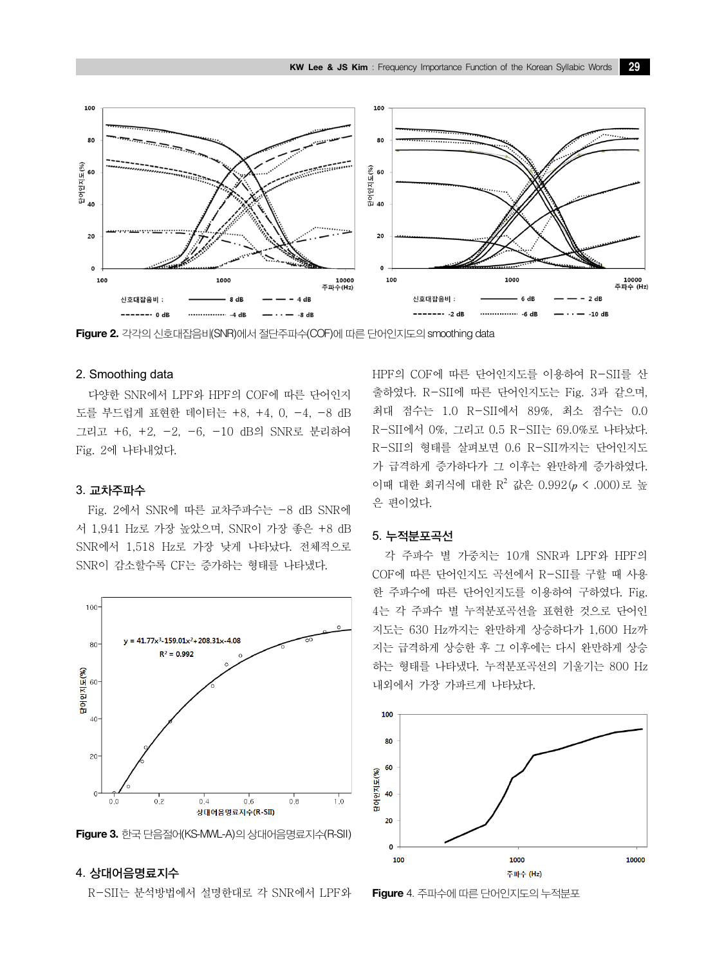

**Figure 2.** 각각의 신호대잡음비(SNR)에서 절단주파수(COF)에 따른 단어인지도의 smoothing data

### 2. Smoothing data

다양한 SNR에서 LPF와 HPF의 COF에 따른 단어인지 도를 부드럽게 표현한 데이터는 +8, +4, 0, -4, -8 dB 그리고 +6, +2, -2, -6, -10 dB의 SNR로 분리하여 Fig. 2에 나타내었다.

#### 3. 교차주파수

Fig. 2에서 SNR에 따른 교차주파수는 -8 dB SNR에 서 1,941 Hz로 가장 높았으며, SNR이 가장 좋은 +8 dB SNR에서 1,518 Hz로 가장 낮게 나타났다. 전체적으로 SNR이 감소할수록 CF는 증가하는 형태를 나타냈다.



**Figure 3.** 한국 단음절어(KS-MWL-A)의 상대어음명료지수(R-SII)

# 4. 상대어음명료지수

R-SII는 분석방법에서 설명한대로 각 SNR에서 LPF와

HPF의 COF에 따른 단어인지도를 이용하여 R-SII를 산 출하였다. R-SII에 따른 단어인지도는 Fig. 3과 같으며, 최대 점수는 1.0 R-SII에서 89%, 최소 점수는 0.0 R-SII에서 0%, 그리고 0.5 R-SII는 69.0%로 나타났다. R-SII의 형태를 살펴보면 0.6 R-SII까지는 단어인지도 가 급격하게 증가하다가 그 이후는 완만하게 증가하였다. 이때 대한 회귀식에 대한 R<sup>2</sup> 값은 0.992(*p* < .000)로 높 은 편이었다.

#### 5. 누적분포곡선

각 주파수 별 가중치는 10개 SNR과 LPF와 HPF의 COF에 따른 단어인지도 곡선에서 R-SII를 구할 때 사용 한 주파수에 따른 단어인지도를 이용하여 구하였다. Fig. 4는 각 주파수 별 누적분포곡선을 표현한 것으로 단어인 지도는 630 Hz까지는 완만하게 상승하다가 1,600 Hz까 지는 급격하게 상승한 후 그 이후에는 다시 완만하게 상승 하는 형태를 나타냈다. 누적분포곡선의 기울기는 800 Hz 내외에서 가장 가파르게 나타났다.



**Figure** 4. 주파수에 따른 단어인지도의 누적분포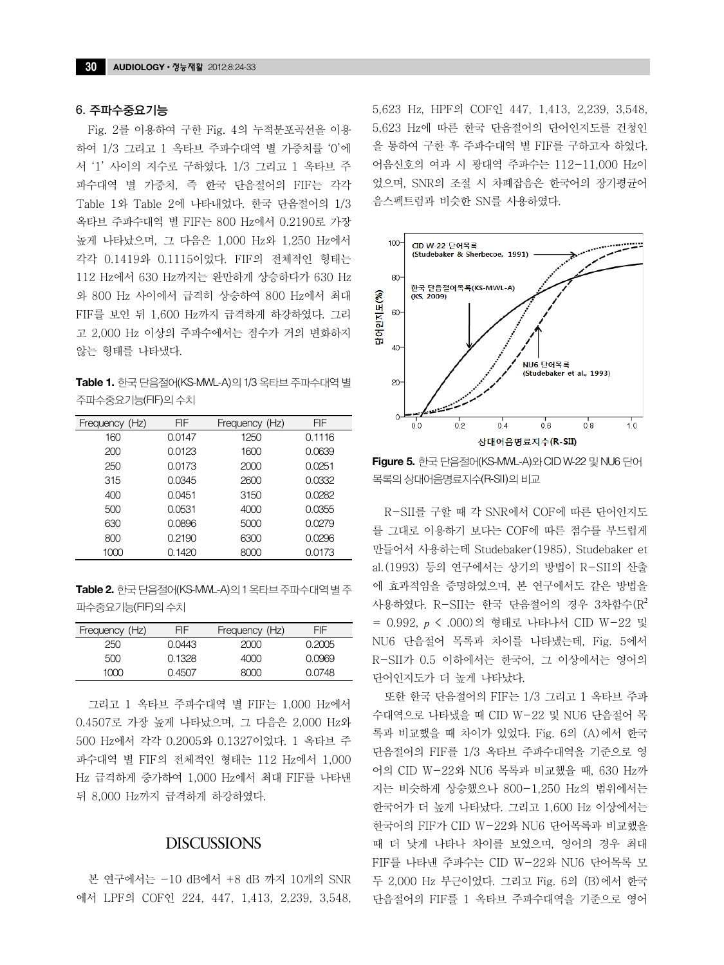#### 6. 주파수중요기능

Fig. 2를 이용하여 구한 Fig. 4의 누적분포곡선을 이용 하여 1/3 그리고 1 옥타브 주파수대역 별 가중치를 '0'에 서 '1' 사이의 지수로 구하였다. 1/3 그리고 1 옥타브 주 파수대역 별 가중치, 즉 한국 단음절어의 FIF는 각각 Table 1와 Table 2에 나타내었다. 한국 단음절어의 1/3 옥타브 주파수대역 별 FIF는 800 Hz에서 0.2190로 가장 높게 나타났으며, 그 다음은 1,000 Hz와 1,250 Hz에서 각각 0.1419와 0.1115이었다. FIF의 전체적인 형태는 112 Hz에서 630 Hz까지는 완만하게 상승하다가 630 Hz 와 800 Hz 사이에서 급격히 상승하여 800 Hz에서 최대 FIF를 보인 뒤 1,600 Hz까지 급격하게 하강하였다. 그리 고 2,000 Hz 이상의 주파수에서는 점수가 거의 변화하지 않는 형태를 나타냈다.

**Table 1.** 한국 단음절어(KS-MWL-A)의 1/3 옥타브 주파수대역 별 주파수중요기능(FIF)의 수치

| Frequency (Hz) | FIF    | Frequency (Hz) | FIF    |  |
|----------------|--------|----------------|--------|--|
| 160            | 0.0147 | 1250           | 0.1116 |  |
| 200            | 0.0123 | 1600           | 0.0639 |  |
| 250            | 0.0173 | 2000           | 0.0251 |  |
| 315            | 0.0345 | 2600           | 0.0332 |  |
| 400            | 0.0451 | 3150           | 0.0282 |  |
| 500            | 0.0531 | 4000           | 0.0355 |  |
| 630            | 0.0896 | 5000           | 0.0279 |  |
| 800            | 0.2190 | 6300           | 0.0296 |  |
| 1000           | 0.1420 | 8000           | 0.0173 |  |

**Table 2.** 한국 단음절어(KS-MWL-A)의 1 옥타브 주파수대역 별 주 파수중요기능(FIF)의 수치

| Frequency (Hz) | FIF    | Frequency (Hz) | FIF.   |  |
|----------------|--------|----------------|--------|--|
| 250            | 0.0443 | 2000           | 0.2005 |  |
| 500            | 0.1328 | 4000           | 0.0969 |  |
| 1000           | 0.4507 | ദറവ            | 0.0748 |  |
|                |        |                |        |  |

그리고 1 옥타브 주파수대역 별 FIF는 1,000 Hz에서 0.4507로 가장 높게 나타났으며, 그 다음은 2,000 Hz와 500 Hz에서 각각 0.2005와 0.1327이었다. 1 옥타브 주 파수대역 별 FIF의 전체적인 형태는 112 Hz에서 1,000 Hz 급격하게 증가하여 1,000 Hz에서 최대 FIF를 나타낸 뒤 8,000 Hz까지 급격하게 하강하였다.

# **DISCUSSIONS**

본 연구에서는 -10 dB에서 +8 dB 까지 10개의 SNR 에서 LPF의 COF인 224, 447, 1,413, 2,239, 3,548, 5,623 Hz, HPF의 COF인 447, 1,413, 2,239, 3,548, 5,623 Hz에 따른 한국 단음절어의 단어인지도를 건청인 을 통하여 구한 후 주파수대역 별 FIF를 구하고자 하였다. 어음신호의 여과 시 광대역 주파수는 112-11,000 Hz이 었으며, SNR의 조절 시 차폐잡음은 한국어의 장기평균어 음스펙트럼과 비슷한 SN를 사용하였다.



**Figure 5.** 한국 단음절어(KS-MWL-A)와 CID W-22 및 NU6 단어 목록의 상대어음명료지수(R-SII)의 비교

R-SII를 구할 때 각 SNR에서 COF에 따른 단어인지도 를 그대로 이용하기 보다는 COF에 따른 점수를 부드럽게 만들어서 사용하는데 Studebaker(1985), Studebaker et al.(1993) 등의 연구에서는 상기의 방법이 R-SII의 산출 에 효과적임을 증명하였으며, 본 연구에서도 같은 방법을 사용하였다. R-SII는 한국 단음절어의 경우 3차함수 $(\mathbb{R}^2)$ = 0.992, *p* < .000)의 형태로 나타나서 CID W-22 및 NU6 단음절어 목록과 차이를 나타냈는데, Fig. 5에서 R-SII가 0.5 이하에서는 한국어, 그 이상에서는 영어의 단어인지도가 더 높게 나타났다.

또한 한국 단음절어의 FIF는 1/3 그리고 1 옥타브 주파 수대역으로 나타냈을 때 CID W-22 및 NU6 단음절어 목 록과 비교했을 때 차이가 있었다. Fig. 6의 (A)에서 한국 단음절어의 FIF를 1/3 옥타브 주파수대역을 기준으로 영 어의 CID W-22와 NU6 목록과 비교했을 때, 630 Hz까 지는 비슷하게 상승했으나 800-1,250 Hz의 범위에서는 한국어가 더 높게 나타났다. 그리고 1,600 Hz 이상에서는 한국어의 FIF가 CID W-22와 NU6 단어목록과 비교했을 때 더 낮게 나타나 차이를 보였으며, 영어의 경우 최대 FIF를 나타낸 주파수는 CID W-22와 NU6 단어목록 모 두 2,000 Hz 부근이었다. 그리고 Fig. 6의 (B)에서 한국 단음절어의 FIF를 1 옥타브 주파수대역을 기준으로 영어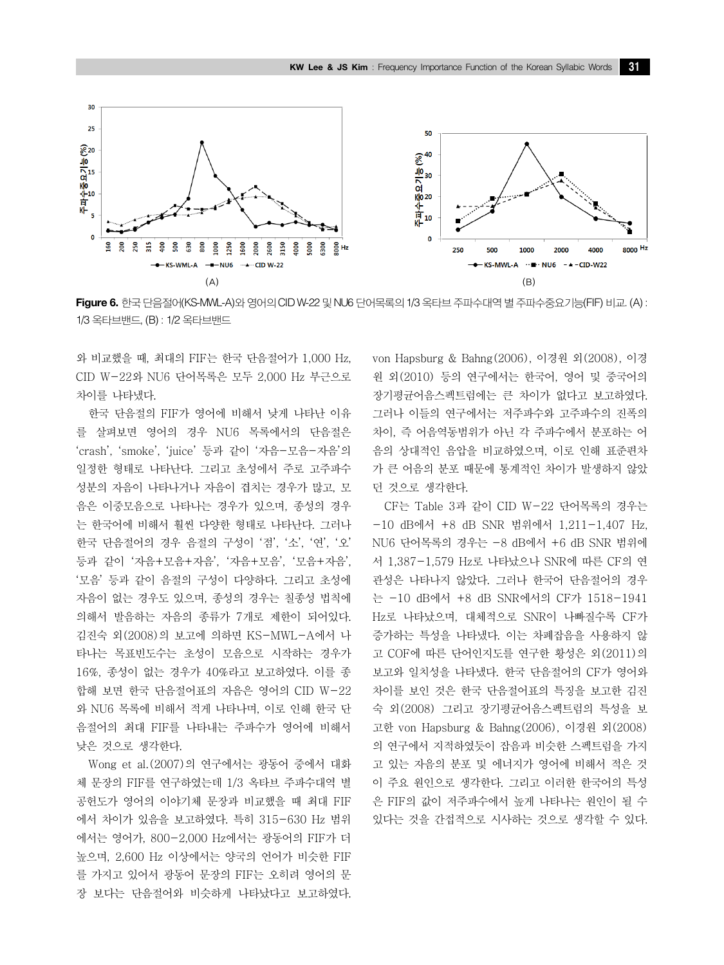

**Figure 6.** 한국 단음절어(KS-MWL-A)와 영어의 CID W-22 및 NU6 단어목록의 1/3 옥타브 주파수대역 별 주파수중요기능(FIF) 비교. (A) : 1/3 옥타브밴드, (B) : 1/2 옥타브밴드

와 비교했을 때, 최대의 FIF는 한국 단음절어가 1,000 Hz, CID W-22와 NU6 단어목록은 모두 2,000 Hz 부근으로 차이를 나타냈다.

한국 단음절의 FIF가 영어에 비해서 낮게 나타난 이유 를 살펴보면 영어의 경우 NU6 목록에서의 단음절은 'crash', 'smoke', 'juice' 등과 같이 '자음-모음-자음'의 일정한 형태로 나타난다. 그리고 초성에서 주로 고주파수 성분의 자음이 나타나거나 자음이 겹치는 경우가 많고, 모 음은 이중모음으로 나타나는 경우가 있으며, 종성의 경우 는 한국어에 비해서 훨씬 다양한 형태로 나타난다. 그러나 한국 단음절어의 경우 음절의 구성이 '점', '소', '연', '오' 등과 같이 '자음+모음+자음', '자음+모음', '모음+자음', '모음' 등과 같이 음절의 구성이 다양하다. 그리고 초성에 자음이 없는 경우도 있으며, 종성의 경우는 칠종성 법칙에 의해서 발음하는 자음의 종류가 7개로 제한이 되어있다. 김진숙 외(2008)의 보고에 의하면 KS-MWL-A에서 나 타나는 목표빈도수는 초성이 모음으로 시작하는 경우가 16%, 종성이 없는 경우가 40%라고 보고하였다. 이를 종 합해 보면 한국 단음절어표의 자음은 영어의 CID W-22 와 NU6 목록에 비해서 적게 나타나며, 이로 인해 한국 단 음절어의 최대 FIF를 나타내는 주파수가 영어에 비해서 낮은 것으로 생각한다.

Wong et al.(2007)의 연구에서는 광동어 중에서 대화 체 문장의 FIF를 연구하였는데 1/3 옥타브 주파수대역 별 공헌도가 영어의 이야기체 문장과 비교했을 때 최대 FIF 에서 차이가 있음을 보고하였다. 특히 315-630 Hz 범위 에서는 영어가, 800-2,000 Hz에서는 광동어의 FIF가 더 높으며, 2,600 Hz 이상에서는 양국의 언어가 비슷한 FIF 를 가지고 있어서 광동어 문장의 FIF는 오히려 영어의 문 장 보다는 단음절어와 비슷하게 나타났다고 보고하였다.

von Hapsburg & Bahng(2006), 이경원 외(2008), 이경 원 외(2010) 등의 연구에서는 한국어, 영어 및 중국어의 장기평균어음스펙트럼에는 큰 차이가 없다고 보고하였다. 그러나 이들의 연구에서는 저주파수와 고주파수의 진폭의 차이, 즉 어음역동범위가 아닌 각 주파수에서 분포하는 어 음의 상대적인 음압을 비교하였으며, 이로 인해 표준편차 가 큰 어음의 분포 때문에 통계적인 차이가 발생하지 않았 던 것으로 생각한다.

CF는 Table 3과 같이 CID W-22 단어목록의 경우는 -10 dB에서 +8 dB SNR 범위에서 1,211-1,407 Hz, NU6 단어목록의 경우는 -8 dB에서 +6 dB SNR 범위에 서 1,387-1,579 Hz로 나타났으나 SNR에 따른 CF의 연 관성은 나타나지 않았다. 그러나 한국어 단음절어의 경우 는 -10 dB에서 +8 dB SNR에서의 CF가 1518-1941 Hz로 나타났으며, 대체적으로 SNR이 나빠질수록 CF가 증가하는 특성을 나타냈다. 이는 차폐잡음을 사용하지 않 고 COF에 따른 단어인지도를 연구한 황성은 외(2011)의 보고와 일치성을 나타냈다. 한국 단음절어의 CF가 영어와 차이를 보인 것은 한국 단음절어표의 특징을 보고한 김진 숙 외(2008) 그리고 장기평균어음스펙트럼의 특성을 보 고한 von Hapsburg & Bahng(2006), 이경원 외(2008) 의 연구에서 지적하였듯이 잡음과 비슷한 스펙트럼을 가지 고 있는 자음의 분포 및 에너지가 영어에 비해서 적은 것 이 주요 원인으로 생각한다. 그리고 이러한 한국어의 특성 은 FIF의 값이 저주파수에서 높게 나타나는 원인이 될 수 있다는 것을 간접적으로 시사하는 것으로 생각할 수 있다.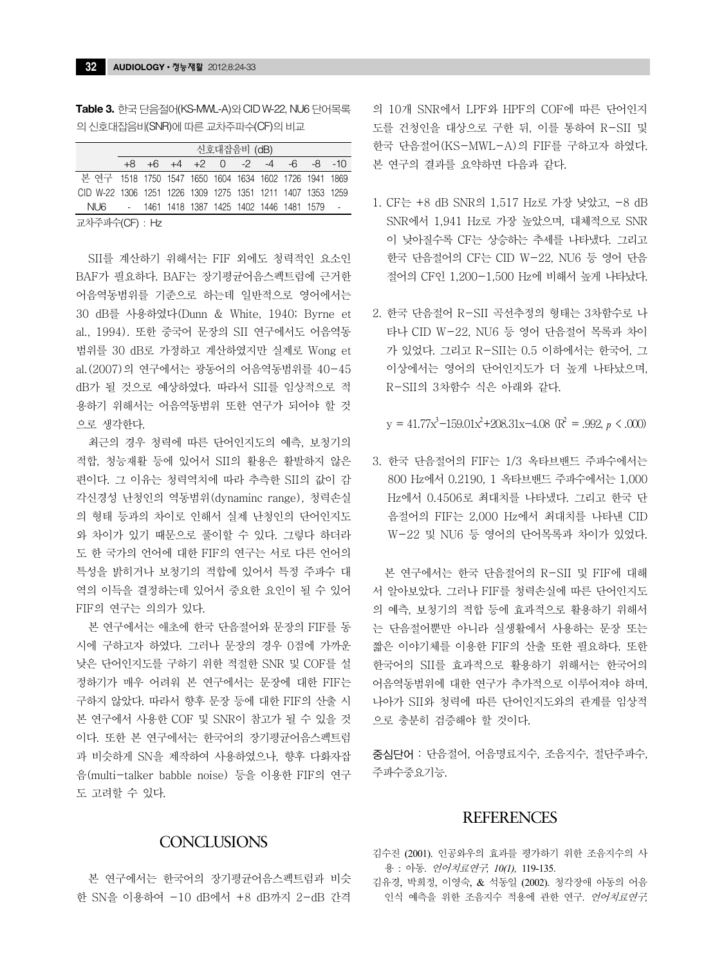**Table 3.** 한국 단음절어(KS-MWL-A)와 CID W-22, NU6 단어목록 의 신호대잡음비(SNR)에 따른 교차주파수(CF)의 비교

|                                                            | 신호대잡음비 (dB) |  |  |  |  |  |  |  |                                                 |  |
|------------------------------------------------------------|-------------|--|--|--|--|--|--|--|-------------------------------------------------|--|
|                                                            |             |  |  |  |  |  |  |  | $+8$ $+6$ $+4$ $+2$ 0 $-2$ $-4$ $-6$ $-8$ $-10$ |  |
| 본 연구 1518 1750 1547 1650 1604 1634 1602 1726 1941 1869     |             |  |  |  |  |  |  |  |                                                 |  |
| CID W-22 1306 1251 1226 1309 1275 1351 1211 1407 1353 1259 |             |  |  |  |  |  |  |  |                                                 |  |
| NU6 - 1461 1418 1387 1425 1402 1446 1481 1579 -            |             |  |  |  |  |  |  |  |                                                 |  |
| 쿄카즈쿄스/CE\ · 니ㅜ                                             |             |  |  |  |  |  |  |  |                                                 |  |

교차주파수(CF) : Hz

SII를 계산하기 위해서는 FIF 외에도 청력적인 요소인 BAF가 필요하다. BAF는 장기평균어음스펙트럼에 근거한 어음역동범위를 기준으로 하는데 일반적으로 영어에서는 30 dB를 사용하였다(Dunn & White, 1940; Byrne et al., 1994). 또한 중국어 문장의 SII 연구에서도 어음역동 범위를 30 dB로 가정하고 계산하였지만 실제로 Wong et al.(2007)의 연구에서는 광동어의 어음역동범위를 40-45 dB가 될 것으로 예상하였다. 따라서 SII를 임상적으로 적 용하기 위해서는 어음역동범위 또한 연구가 되어야 할 것 으로 생각한다.

최근의 경우 청력에 따른 단어인지도의 예측, 보청기의 적합, 청능재활 등에 있어서 SII의 활용은 활발하지 않은 편이다. 그 이유는 청력역치에 따라 추측한 SII의 값이 감 각신경성 난청인의 역동범위(dynaminc range), 청력손실 의 형태 등과의 차이로 인해서 실제 난청인의 단어인지도 와 차이가 있기 때문으로 풀이할 수 있다. 그렇다 하더라 도 한 국가의 언어에 대한 FIF의 연구는 서로 다른 언어의 특성을 밝히거나 보청기의 적합에 있어서 특정 주파수 대 역의 이득을 결정하는데 있어서 중요한 요인이 될 수 있어 FIF의 연구는 의의가 있다.

본 연구에서는 애초에 한국 단음절어와 문장의 FIF를 동 시에 구하고자 하였다. 그러나 문장의 경우 0점에 가까운 낮은 단어인지도를 구하기 위한 적절한 SNR 및 COF를 설 정하기가 매우 어려워 본 연구에서는 문장에 대한 FIF는 구하지 않았다. 따라서 향후 문장 등에 대한 FIF의 산출 시 본 연구에서 사용한 COF 및 SNR이 참고가 될 수 있을 것 이다. 또한 본 연구에서는 한국어의 장기평균어음스펙트럼 과 비슷하게 SN을 제작하여 사용하였으나, 향후 다화자잡 음(multi-talker babble noise) 등을 이용한 FIF의 연구 도 고려할 수 있다.

의 10개 SNR에서 LPF와 HPF의 COF에 따른 단어인지 도를 건청인을 대상으로 구한 뒤, 이를 통하여 R-SII 및 한국 단음절어(KS-MWL-A)의 FIF를 구하고자 하였다. 본 연구의 결과를 요약하면 다음과 같다.

- 1. CF는 +8 dB SNR의 1,517 Hz로 가장 낮았고, -8 dB SNR에서 1,941 Hz로 가장 높았으며, 대체적으로 SNR 이 낮아질수록 CF는 상승하는 추세를 나타냈다. 그리고 한국 단음절어의 CF는 CID W-22, NU6 등 영어 단음 절어의 CF인 1,200-1,500 Hz에 비해서 높게 나타났다.
- 2. 한국 단음절어 R-SII 곡선추정의 형태는 3차함수로 나 타나 CID W-22, NU6 등 영어 단음절어 목록과 차이 가 있었다. 그리고 R-SII는 0.5 이하에서는 한국어, 그 이상에서는 영어의 단어인지도가 더 높게 나타났으며, R-SII의 3차함수 식은 아래와 같다.

 $y = 41.77x^3 - 159.01x^2 + 208.31x - 4.08$  ( $R^2 = .992$ ,  $p < .000$ )

3. 한국 단음절어의 FIF는 1/3 옥타브밴드 주파수에서는 800 Hz에서 0.2190, 1 옥타브밴드 주파수에서는 1,000 Hz에서 0.4506로 최대치를 나타냈다. 그리고 한국 단 음절어의 FIF는 2,000 Hz에서 최대치를 나타낸 CID W-22 및 NU6 등 영어의 단어목록과 차이가 있었다.

본 연구에서는 한국 단음절어의 R-SII 및 FIF에 대해 서 알아보았다. 그러나 FIF를 청력손실에 따른 단어인지도 의 예측, 보청기의 적합 등에 효과적으로 활용하기 위해서 는 단음절어뿐만 아니라 실생활에서 사용하는 문장 또는 짧은 이야기체를 이용한 FIF의 산출 또한 필요하다. 또한 한국어의 SII를 효과적으로 활용하기 위해서는 한국어의 어음역동범위에 대한 연구가 추가적으로 이루어져야 하며, 나아가 SII와 청력에 따른 단어인지도와의 관계를 임상적 으로 충분히 검증해야 할 것이다.

중심단어 : 단음절어, 어음명료지수, 조음지수, 절단주파수, 주파수중요기능.

# **REFERENCES**

- 김수진 (2001). 인공와우의 효과를 평가하기 위한 조음지수의 사 용 : 아동. 언어치료연구*, 10(1),* 119-135.
	- 김유경, 박희정, 이영숙, & 석동일 (2002). 청각장애 아동의 어음 인식 예측을 위한 조음지수 적용에 관한 연구. 언어치료연구*,*

# **CONCLUSIONS**

본 연구에서는 한국어의 장기평균어음스펙트럼과 비슷 한 SN을 이용하여 -10 dB에서 +8 dB까지 2-dB 간격